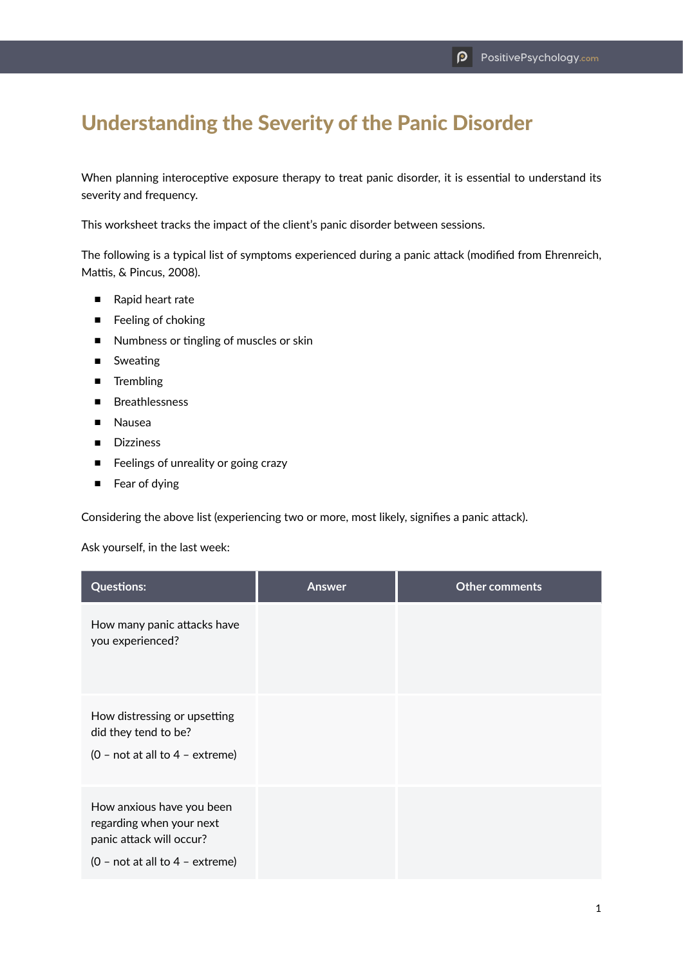## Understanding the Severity of the Panic Disorder

When planning interoceptive exposure therapy to treat panic disorder, it is essential to understand its severity and frequency.

This worksheet tracks the impact of the client's panic disorder between sessions.

The following is a typical list of symptoms experienced during a panic attack (modified from Ehrenreich, Mattis, & Pincus, 2008).

- Rapid heart rate
- Feeling of choking
- Numbness or tingling of muscles or skin
- Sweating
- Trembling
- Breathlessness
- Nausea
- Dizziness
- Feelings of unreality or going crazy
- Fear of dying

Considering the above list (experiencing two or more, most likely, signifies a panic attack).

Ask yourself, in the last week:

| <b>Questions:</b>                                                                                                      | Answer | Other comments |
|------------------------------------------------------------------------------------------------------------------------|--------|----------------|
| How many panic attacks have<br>you experienced?                                                                        |        |                |
| How distressing or upsetting<br>did they tend to be?<br>$(0 - not at all to 4 - extreme)$                              |        |                |
| How anxious have you been<br>regarding when your next<br>panic attack will occur?<br>$(0 - not at all to 4 - extreme)$ |        |                |